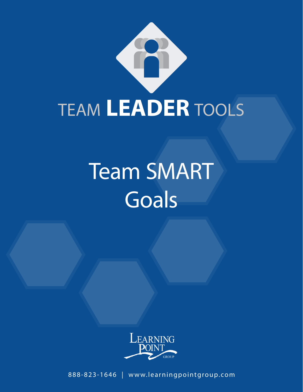

# Team SMART **Goals**



888-823-1646 | www.learningpointgroup.com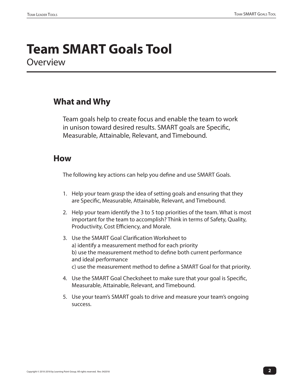## **Team SMART Goals Tool Overview**

#### **What and Why**

Team goals help to create focus and enable the team to work in unison toward desired results. SMART goals are Specific, Measurable, Attainable, Relevant, and Timebound.

#### **How**

The following key actions can help you define and use SMART Goals.

- 1. Help your team grasp the idea of setting goals and ensuring that they are Specific, Measurable, Attainable, Relevant, and Timebound.
- 2. Help your team identify the 3 to 5 top priorities of the team. What is most important for the team to accomplish? Think in terms of Safety, Quality, Productivity, Cost Efficiency, and Morale.
- 3. Use the SMART Goal Clarification Worksheet to a) identify a measurement method for each priority b) use the measurement method to define both current performance and ideal performance c) use the measurement method to define a SMART Goal for that priority.
- 4. Use the SMART Goal Checksheet to make sure that your goal is Specific, Measurable, Attainable, Relevant, and Timebound.
- 5. Use your team's SMART goals to drive and measure your team's ongoing success.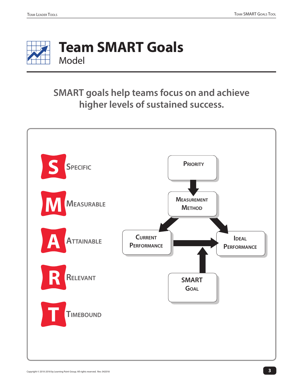

### **SMART goals help teams focus on and achieve higher levels of sustained success.**

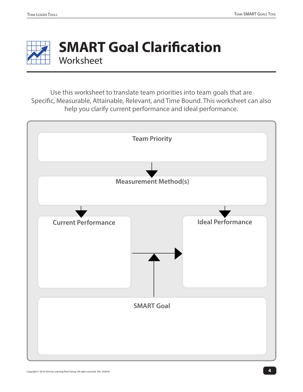

# **SMART Goal Clarification Worksheet**

Use this worksheet to translate team priorities into team goals that are Specific, Measurable, Attainable, Relevant, and Time Bound. This worksheet can also help you clarify current performance and ideal performance.

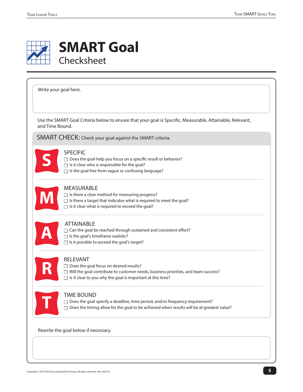

## **SMART Goal** Checksheet

Use the SMART Goal Criteria below to ensure that your goal is Specific, Measurable, Attainable, Relevant, and Time Bound. MEASURABLE  $\Box$  Is there a clear method for measuring progress?  $\Box$  Is there a target that indicates what is required to meet the goal?  $\Box$  Is it clear what is required to exceed the goal? ATTAINABLE  $\Box$  Can the goal be reached through sustained and consistent effort?  $\Box$  Is the goal's timeframe realistic?  $\Box$  Is it possible to exceed the goal's target? RELEVANT  $\Box$  Does the goal focus on desired results?  $\Box$  Will the goal contribute to customer needs, business priorities, and team success? SPECIFIC  $\Box$  Does the goal help you focus on a specific result or behavior?  $\Box$  Is it clear who is responsible for the goal?  $\Box$  Is the goal free from vague or confusing language? SMART CHECK: Check your goal against the SMART criteria. Write your goal here. **S M A R**

 $\Box$  Is it clear to you why the goal is important at this time?



#### TIME BOUND

 $\Box$  Does the goal specify a deadline, time period, and/or frequency requirement?  $\Box$  Does the timing allow for the goal to be achieved when results will be at greatest value?

Rewrite the goal below if necessary.